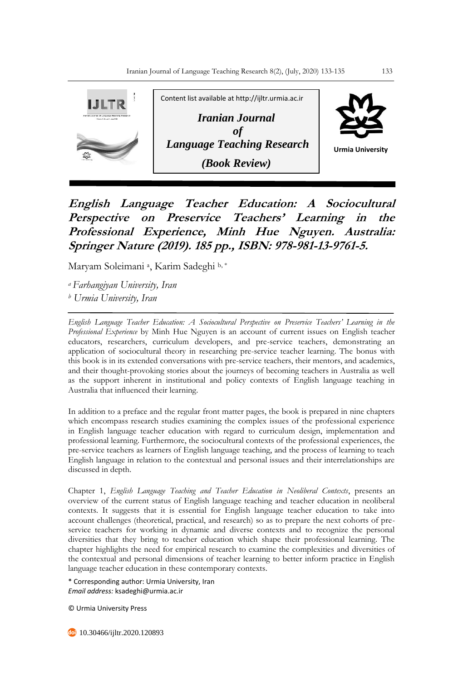

**English Language Teacher Education: A Sociocultural Perspective on Preservice Teachers' Learning in the Professional Experience, Minh Hue Nguyen. Australia: Springer Nature (2019). 185 pp., ISBN: 978-981-13-9761-5.**

Maryam Soleimani <sup>a</sup> , Karim Sadeghi b, \*

*<sup>a</sup>Farhangiyan University, Iran <sup>b</sup> Urmia University, Iran*

*English Language Teacher Education: A Sociocultural Perspective on Preservice Teachers' Learning in the Professional Experience* by Minh Hue Nguyen is an account of current issues on English teacher educators, researchers, curriculum developers, and pre-service teachers, demonstrating an application of sociocultural theory in researching pre-service teacher learning. The bonus with this book is in its extended conversations with pre-service teachers, their mentors, and academics, and their thought-provoking stories about the journeys of becoming teachers in Australia as well as the support inherent in institutional and policy contexts of English language teaching in Australia that influenced their learning.

In addition to a preface and the regular front matter pages, the book is prepared in nine chapters which encompass research studies examining the complex issues of the professional experience in English language teacher education with regard to curriculum design, implementation and professional learning. Furthermore, the sociocultural contexts of the professional experiences, the pre-service teachers as learners of English language teaching, and the process of learning to teach English language in relation to the contextual and personal issues and their interrelationships are discussed in depth.

Chapter 1, *English Language Teaching and Teacher Education in Neoliberal Contexts*, presents an overview of the current status of English language teaching and teacher education in neoliberal contexts. It suggests that it is essential for English language teacher education to take into account challenges (theoretical, practical, and research) so as to prepare the next cohorts of preservice teachers for working in dynamic and diverse contexts and to recognize the personal diversities that they bring to teacher education which shape their professional learning. The chapter highlights the need for empirical research to examine the complexities and diversities of the contextual and personal dimensions of teacher learning to better inform practice in English language teacher education in these contemporary contexts.

\* Corresponding author: Urmia University, Iran *Email address:* ksadeghi@urmia.ac.ir

© Urmia University Press

**40** 10.30466/ijltr.2020.120893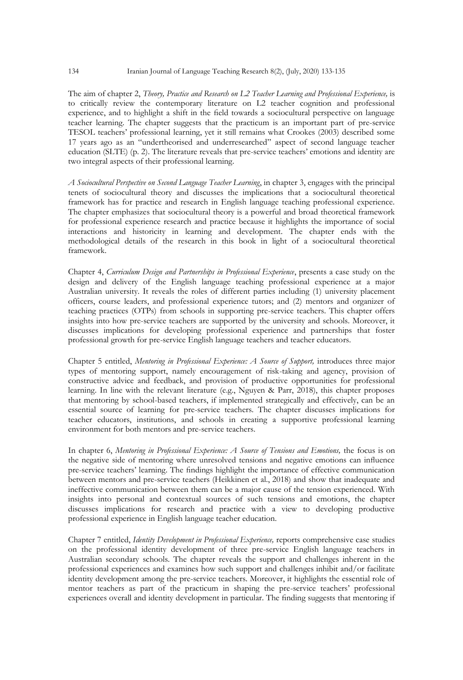The aim of chapter 2, *Theory, Practice and Research on L2 Teacher Learning and Professional Experience,* is to critically review the contemporary literature on L2 teacher cognition and professional experience, and to highlight a shift in the field towards a sociocultural perspective on language teacher learning. The chapter suggests that the practicum is an important part of pre-service TESOL teachers' professional learning, yet it still remains what Crookes (2003) described some 17 years ago as an "undertheorised and underresearched" aspect of second language teacher education (SLTE) (p. 2). The literature reveals that pre-service teachers' emotions and identity are two integral aspects of their professional learning.

*A Sociocultural Perspective on Second Language Teacher Learning*, in chapter 3, engages with the principal tenets of sociocultural theory and discusses the implications that a sociocultural theoretical framework has for practice and research in English language teaching professional experience. The chapter emphasizes that sociocultural theory is a powerful and broad theoretical framework for professional experience research and practice because it highlights the importance of social interactions and historicity in learning and development. The chapter ends with the methodological details of the research in this book in light of a sociocultural theoretical framework.

Chapter 4, *Curriculum Design and Partnerships in Professional Experience*, presents a case study on the design and delivery of the English language teaching professional experience at a major Australian university. It reveals the roles of different parties including (1) university placement officers, course leaders, and professional experience tutors; and (2) mentors and organizer of teaching practices (OTPs) from schools in supporting pre-service teachers. This chapter offers insights into how pre-service teachers are supported by the university and schools. Moreover, it discusses implications for developing professional experience and partnerships that foster professional growth for pre-service English language teachers and teacher educators.

Chapter 5 entitled, *Mentoring in Professional Experience: A Source of Support,* introduces three major types of mentoring support, namely encouragement of risk-taking and agency, provision of constructive advice and feedback, and provision of productive opportunities for professional learning. In line with the relevant literature (e.g., Nguyen & Parr, 2018), this chapter proposes that mentoring by school-based teachers, if implemented strategically and effectively, can be an essential source of learning for pre-service teachers. The chapter discusses implications for teacher educators, institutions, and schools in creating a supportive professional learning environment for both mentors and pre-service teachers.

In chapter 6, *Mentoring in Professional Experience: A Source of Tensions and Emotions,* the focus is on the negative side of mentoring where unresolved tensions and negative emotions can influence pre-service teachers' learning. The findings highlight the importance of effective communication between mentors and pre-service teachers (Heikkinen et al., 2018) and show that inadequate and ineffective communication between them can be a major cause of the tension experienced. With insights into personal and contextual sources of such tensions and emotions, the chapter discusses implications for research and practice with a view to developing productive professional experience in English language teacher education.

Chapter 7 entitled, *Identity Development in Professional Experience,* reports comprehensive case studies on the professional identity development of three pre-service English language teachers in Australian secondary schools. The chapter reveals the support and challenges inherent in the professional experiences and examines how such support and challenges inhibit and/or facilitate identity development among the pre-service teachers. Moreover, it highlights the essential role of mentor teachers as part of the practicum in shaping the pre-service teachers' professional experiences overall and identity development in particular. The finding suggests that mentoring if